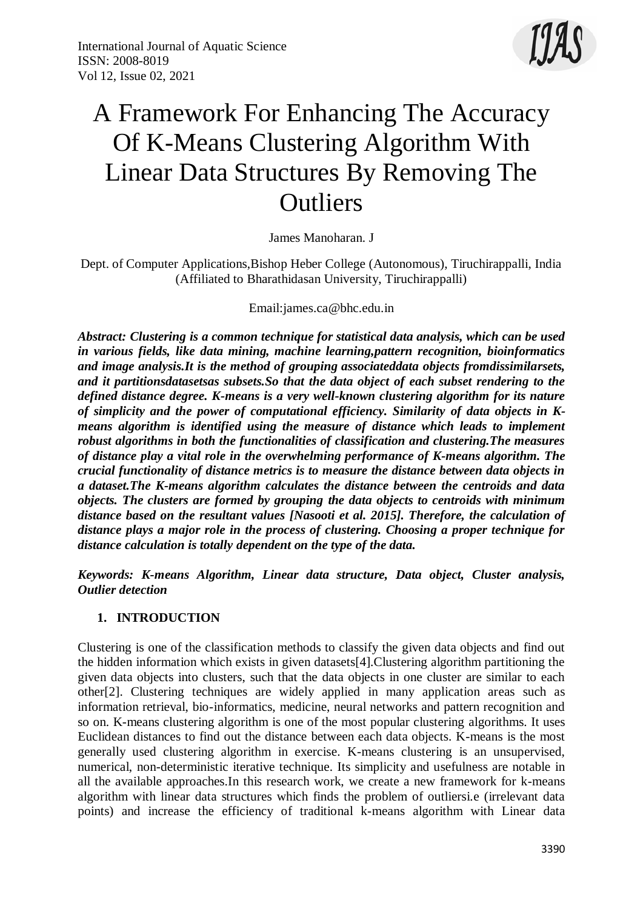

# A Framework For Enhancing The Accuracy Of K-Means Clustering Algorithm With Linear Data Structures By Removing The **Outliers**

James Manoharan. J

Dept. of Computer Applications,Bishop Heber College (Autonomous), Tiruchirappalli, India (Affiliated to Bharathidasan University, Tiruchirappalli)

### Email:james.ca@bhc.edu.in

*Abstract: Clustering is a common technique for statistical data analysis, which can be used in various fields, like data mining, machine learning,pattern recognition, bioinformatics and image analysis.It is the method of grouping associateddata objects fromdissimilarsets, and it partitionsdatasetsas subsets.So that the data object of each subset rendering to the defined distance degree. K-means is a very well-known clustering algorithm for its nature of simplicity and the power of computational efficiency. Similarity of data objects in Kmeans algorithm is identified using the measure of distance which leads to implement robust algorithms in both the functionalities of classification and clustering.The measures of distance play a vital role in the overwhelming performance of K-means algorithm. The crucial functionality of distance metrics is to measure the distance between data objects in a dataset.The K-means algorithm calculates the distance between the centroids and data objects. The clusters are formed by grouping the data objects to centroids with minimum distance based on the resultant values [Nasooti et al. 2015]. Therefore, the calculation of distance plays a major role in the process of clustering. Choosing a proper technique for distance calculation is totally dependent on the type of the data.*

*Keywords: K-means Algorithm, Linear data structure, Data object, Cluster analysis, Outlier detection*

#### **1. INTRODUCTION**

Clustering is one of the classification methods to classify the given data objects and find out the hidden information which exists in given datasets[4].Clustering algorithm partitioning the given data objects into clusters, such that the data objects in one cluster are similar to each other[2]. Clustering techniques are widely applied in many application areas such as information retrieval, bio-informatics, medicine, neural networks and pattern recognition and so on. K-means clustering algorithm is one of the most popular clustering algorithms. It uses Euclidean distances to find out the distance between each data objects. K-means is the most generally used clustering algorithm in exercise. K-means clustering is an unsupervised, numerical, non-deterministic iterative technique. Its simplicity and usefulness are notable in all the available approaches.In this research work, we create a new framework for k-means algorithm with linear data structures which finds the problem of outliersi.e (irrelevant data points) and increase the efficiency of traditional k-means algorithm with Linear data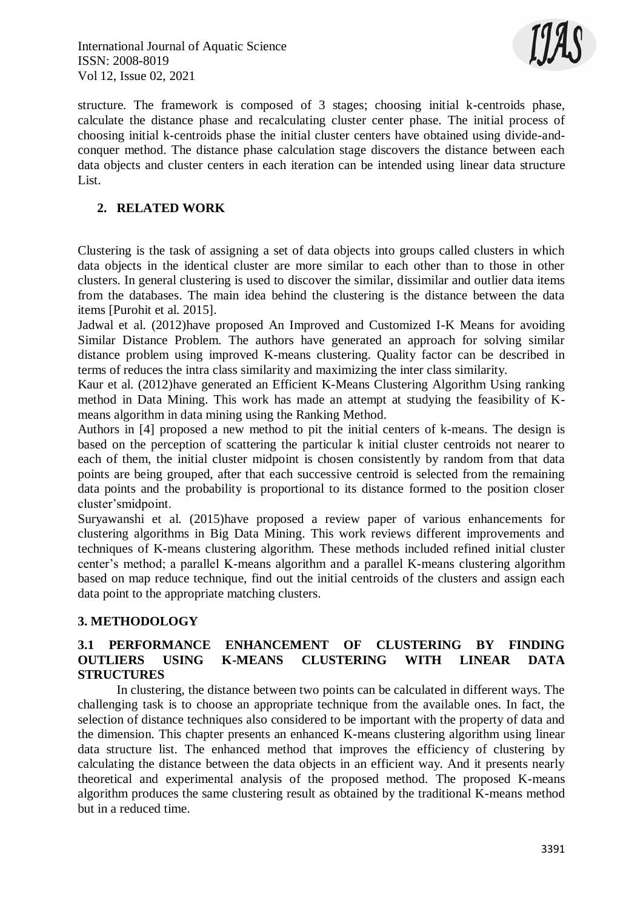

structure. The framework is composed of 3 stages; choosing initial k-centroids phase, calculate the distance phase and recalculating cluster center phase. The initial process of choosing initial k-centroids phase the initial cluster centers have obtained using divide-andconquer method. The distance phase calculation stage discovers the distance between each data objects and cluster centers in each iteration can be intended using linear data structure List.

## **2. RELATED WORK**

Clustering is the task of assigning a set of data objects into groups called clusters in which data objects in the identical cluster are more similar to each other than to those in other clusters. In general clustering is used to discover the similar, dissimilar and outlier data items from the databases. The main idea behind the clustering is the distance between the data items [Purohit et al. 2015].

Jadwal et al. (2012)have proposed An Improved and Customized I-K Means for avoiding Similar Distance Problem. The authors have generated an approach for solving similar distance problem using improved K-means clustering. Quality factor can be described in terms of reduces the intra class similarity and maximizing the inter class similarity.

Kaur et al. (2012)have generated an Efficient K-Means Clustering Algorithm Using ranking method in Data Mining. This work has made an attempt at studying the feasibility of Kmeans algorithm in data mining using the Ranking Method.

Authors in [4] proposed a new method to pit the initial centers of k-means. The design is based on the perception of scattering the particular k initial cluster centroids not nearer to each of them, the initial cluster midpoint is chosen consistently by random from that data points are being grouped, after that each successive centroid is selected from the remaining data points and the probability is proportional to its distance formed to the position closer cluster'smidpoint.

Suryawanshi et al. (2015)have proposed a review paper of various enhancements for clustering algorithms in Big Data Mining. This work reviews different improvements and techniques of K-means clustering algorithm. These methods included refined initial cluster center's method; a parallel K-means algorithm and a parallel K-means clustering algorithm based on map reduce technique, find out the initial centroids of the clusters and assign each data point to the appropriate matching clusters.

#### **3. METHODOLOGY**

# **3.1 PERFORMANCE ENHANCEMENT OF CLUSTERING BY FINDING OUTLIERS USING K-MEANS CLUSTERING WITH LINEAR DATA STRUCTURES**

In clustering, the distance between two points can be calculated in different ways. The challenging task is to choose an appropriate technique from the available ones. In fact, the selection of distance techniques also considered to be important with the property of data and the dimension. This chapter presents an enhanced K-means clustering algorithm using linear data structure list. The enhanced method that improves the efficiency of clustering by calculating the distance between the data objects in an efficient way. And it presents nearly theoretical and experimental analysis of the proposed method. The proposed K-means algorithm produces the same clustering result as obtained by the traditional K-means method but in a reduced time.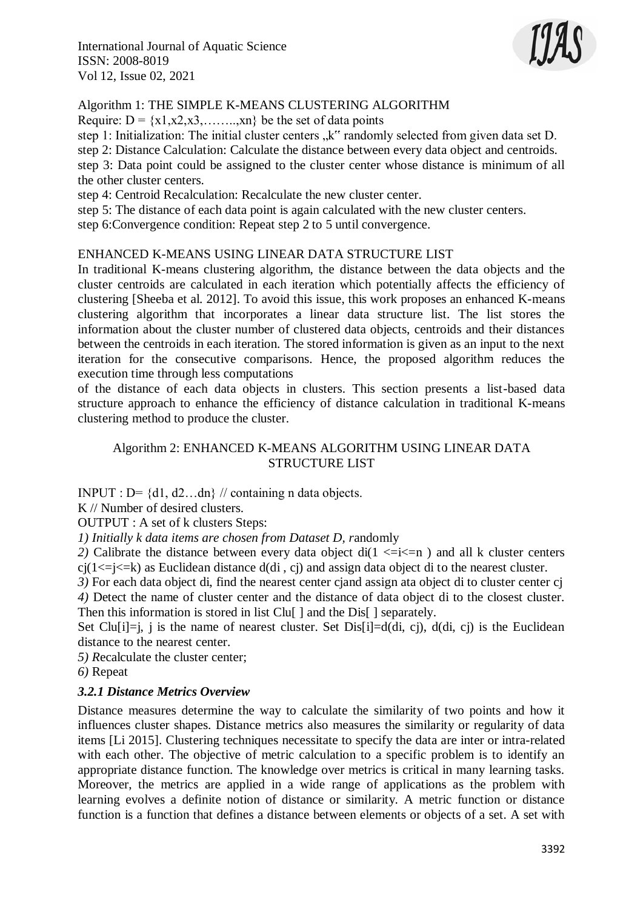

# Algorithm 1: THE SIMPLE K-MEANS CLUSTERING ALGORITHM

Require:  $D = \{x1, x2, x3, \dots, xn\}$  be the set of data points

step 1: Initialization: The initial cluster centers "k" randomly selected from given data set D. step 2: Distance Calculation: Calculate the distance between every data object and centroids. step 3: Data point could be assigned to the cluster center whose distance is minimum of all the other cluster centers.

step 4: Centroid Recalculation: Recalculate the new cluster center.

step 5: The distance of each data point is again calculated with the new cluster centers.

step 6:Convergence condition: Repeat step 2 to 5 until convergence.

#### ENHANCED K-MEANS USING LINEAR DATA STRUCTURE LIST

In traditional K-means clustering algorithm, the distance between the data objects and the cluster centroids are calculated in each iteration which potentially affects the efficiency of clustering [Sheeba et al. 2012]. To avoid this issue, this work proposes an enhanced K-means clustering algorithm that incorporates a linear data structure list. The list stores the information about the cluster number of clustered data objects, centroids and their distances between the centroids in each iteration. The stored information is given as an input to the next iteration for the consecutive comparisons. Hence, the proposed algorithm reduces the execution time through less computations

of the distance of each data objects in clusters. This section presents a list-based data structure approach to enhance the efficiency of distance calculation in traditional K-means clustering method to produce the cluster.

#### Algorithm 2: ENHANCED K-MEANS ALGORITHM USING LINEAR DATA STRUCTURE LIST

INPUT : D=  $\{d1, d2...$ dn} // containing n data objects.

K // Number of desired clusters.

OUTPUT : A set of k clusters Steps:

*1) Initially k data items are chosen from Dataset D, r*andomly

2) Calibrate the distance between every data object di( $1 \le i \le n$ ) and all k cluster centers  $cj(1\le j\le k)$  as Euclidean distance  $d(di, cj)$  and assign data object di to the nearest cluster.

*3)* For each data object di, find the nearest center cjand assign ata object di to cluster center cj *4)* Detect the name of cluster center and the distance of data object di to the closest cluster. Then this information is stored in list Clu[ ] and the Dis[ ] separately.

Set Clu<sup>[i]</sup>=i, j is the name of nearest cluster. Set Dis<sup>[i]</sup>=d(di, cj), d(di, cj) is the Euclidean distance to the nearest center.

*5) R*ecalculate the cluster center;

*6)* Repeat

#### *3.2.1 Distance Metrics Overview*

Distance measures determine the way to calculate the similarity of two points and how it influences cluster shapes. Distance metrics also measures the similarity or regularity of data items [Li 2015]. Clustering techniques necessitate to specify the data are inter or intra-related with each other. The objective of metric calculation to a specific problem is to identify an appropriate distance function. The knowledge over metrics is critical in many learning tasks. Moreover, the metrics are applied in a wide range of applications as the problem with learning evolves a definite notion of distance or similarity. A metric function or distance function is a function that defines a distance between elements or objects of a set. A set with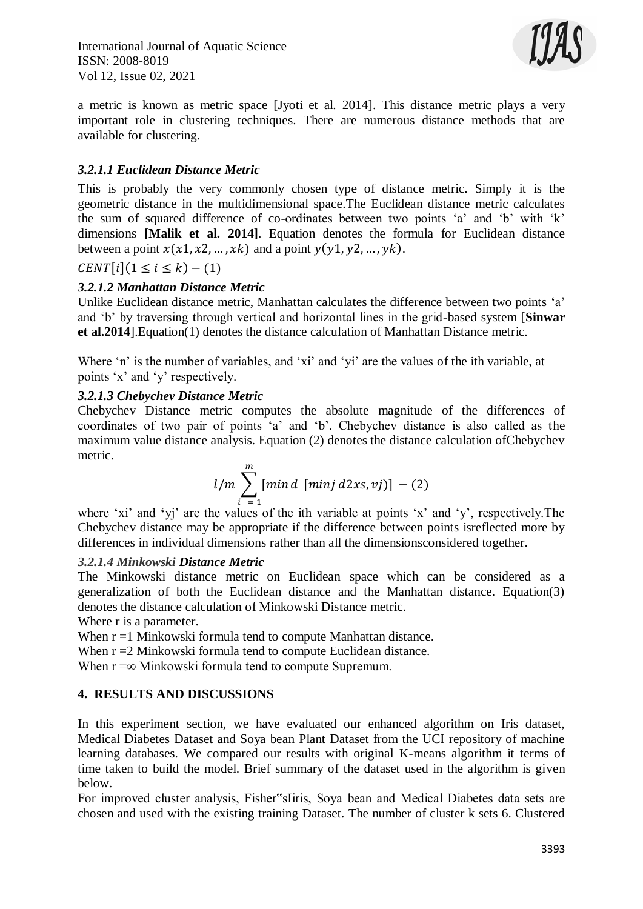

a metric is known as metric space [Jyoti et al. 2014]. This distance metric plays a very important role in clustering techniques. There are numerous distance methods that are available for clustering.

# *3.2.1.1 Euclidean Distance Metric*

This is probably the very commonly chosen type of distance metric. Simply it is the geometric distance in the multidimensional space.The Euclidean distance metric calculates the sum of squared difference of co-ordinates between two points 'a' and 'b' with 'k' dimensions **[Malik et al. 2014]**. Equation denotes the formula for Euclidean distance between a point  $x(x1, x2, ..., xk)$  and a point  $y(y1, y2, ..., yk)$ .

 $CENT[i](1 \le i \le k) - (1)$ 

# *3.2.1.2 Manhattan Distance Metric*

Unlike Euclidean distance metric, Manhattan calculates the difference between two points 'a' and 'b' by traversing through vertical and horizontal lines in the grid-based system [**Sinwar et al.2014**].Equation(1) denotes the distance calculation of Manhattan Distance metric.

Where 'n' is the number of variables, and 'xi' and 'yi' are the values of the ith variable, at points 'x' and 'y' respectively.

# *3.2.1.3 Chebychev Distance Metric*

Chebychev Distance metric computes the absolute magnitude of the differences of coordinates of two pair of points 'a' and 'b'. Chebychev distance is also called as the maximum value distance analysis. Equation (2) denotes the distance calculation ofChebychev metric.

$$
l/m\sum_{i=1}^{m} [min\,d\;[min\,d2xs,vj)] - (2)
$$

where 'xi' and **'**yj' are the values of the ith variable at points 'x' and 'y', respectively.The Chebychev distance may be appropriate if the difference between points isreflected more by differences in individual dimensions rather than all the dimensionsconsidered together.

#### *3.2.1.4 Minkowski Distance Metric*

The Minkowski distance metric on Euclidean space which can be considered as a generalization of both the Euclidean distance and the Manhattan distance. Equation(3) denotes the distance calculation of Minkowski Distance metric.

Where r is a parameter.

When  $r = 1$  Minkowski formula tend to compute Manhattan distance.

When  $r = 2$  Minkowski formula tend to compute Euclidean distance.

When  $r = ∞$  Minkowski formula tend to compute Supremum.

# **4. RESULTS AND DISCUSSIONS**

In this experiment section, we have evaluated our enhanced algorithm on Iris dataset, Medical Diabetes Dataset and Soya bean Plant Dataset from the UCI repository of machine learning databases. We compared our results with original K-means algorithm it terms of time taken to build the model. Brief summary of the dataset used in the algorithm is given below.

For improved cluster analysis, Fisher"sIiris, Soya bean and Medical Diabetes data sets are chosen and used with the existing training Dataset. The number of cluster k sets 6. Clustered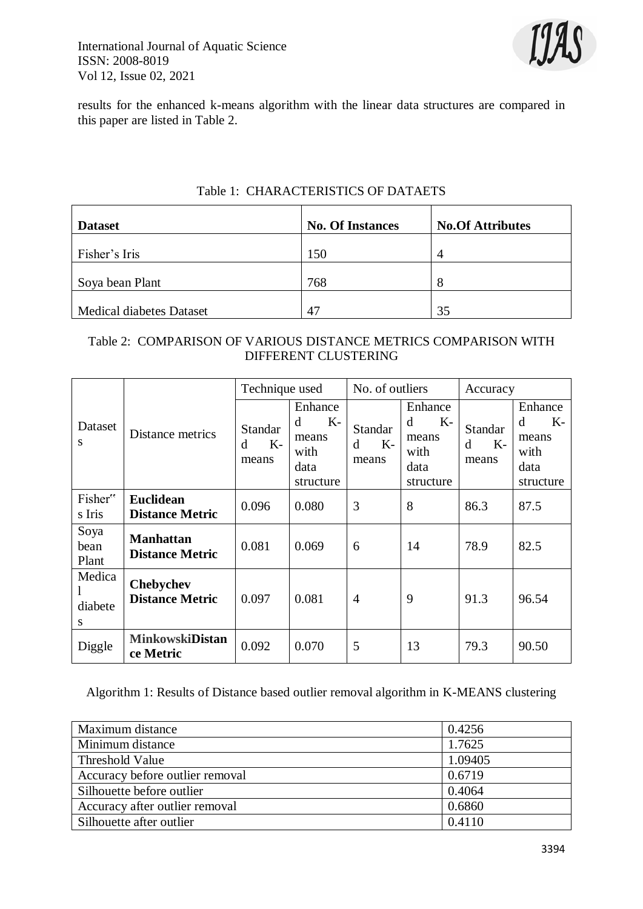

results for the enhanced k-means algorithm with the linear data structures are compared in this paper are listed in Table 2.

| <b>Dataset</b>                  | <b>No. Of Instances</b> | <b>No.Of Attributes</b> |
|---------------------------------|-------------------------|-------------------------|
| Fisher's Iris                   | 150                     | Δ                       |
| Soya bean Plant                 | 768                     | 8                       |
| <b>Medical diabetes Dataset</b> | 47                      | 35                      |

# Table 1: CHARACTERISTICS OF DATAETS

# Table 2: COMPARISON OF VARIOUS DISTANCE METRICS COMPARISON WITH DIFFERENT CLUSTERING

|                        |                                            | Technique used                |                                                            | No. of outliers                      |                                                            | Accuracy                      |                                                            |
|------------------------|--------------------------------------------|-------------------------------|------------------------------------------------------------|--------------------------------------|------------------------------------------------------------|-------------------------------|------------------------------------------------------------|
| Dataset<br>S           | Distance metrics                           | Standar<br>$K-$<br>d<br>means | Enhance<br>$K-$<br>d<br>means<br>with<br>data<br>structure | <b>Standar</b><br>$K-$<br>d<br>means | Enhance<br>d<br>$K-$<br>means<br>with<br>data<br>structure | Standar<br>$K-$<br>d<br>means | Enhance<br>$K-$<br>d<br>means<br>with<br>data<br>structure |
| Fisher"<br>s Iris      | <b>Euclidean</b><br><b>Distance Metric</b> | 0.096                         | 0.080                                                      | 3                                    | 8                                                          | 86.3                          | 87.5                                                       |
| Soya<br>bean<br>Plant  | <b>Manhattan</b><br><b>Distance Metric</b> | 0.081                         | 0.069                                                      | 6                                    | 14                                                         | 78.9                          | 82.5                                                       |
| Medica<br>diabete<br>S | <b>Chebychev</b><br><b>Distance Metric</b> | 0.097                         | 0.081                                                      | 4                                    | 9                                                          | 91.3                          | 96.54                                                      |
| Diggle                 | <b>MinkowskiDistan</b><br>ce Metric        | 0.092                         | 0.070                                                      | 5                                    | 13                                                         | 79.3                          | 90.50                                                      |

Algorithm 1: Results of Distance based outlier removal algorithm in K-MEANS clustering

| Maximum distance                | 0.4256  |
|---------------------------------|---------|
|                                 | 1.7625  |
| Minimum distance                |         |
| Threshold Value                 | 1.09405 |
| Accuracy before outlier removal | 0.6719  |
| Silhouette before outlier       | 0.4064  |
| Accuracy after outlier removal  | 0.6860  |
| Silhouette after outlier        | 0.4110  |